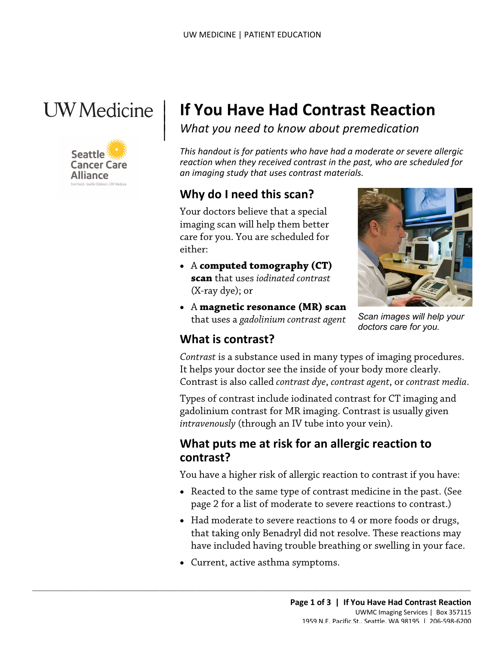# **UW** Medicine

|



## | **If You Have Had Contrast Reaction**

*What you need to know about premedication* | |

*This handout is for patients who have had a moderate or severe allergic reaction when they received contrast in the past, who are scheduled for an imaging study that uses contrast materials.* 

#### **Why do I need this scan?**

 imaging scan will help them better either: Your doctors believe that a special care for you. You are scheduled for

- A **computed tomography (CT) scan** that uses *iodinated contrast*  (X-ray dye); or
- A **magnetic resonance (MR) scan**  that uses a *gadolinium contrast agent*



*Scan images will help your doctors care for you.* 

#### **What is contrast?**

*Contrast* is a substance used in many types of imaging procedures. It helps your doctor see the inside of your body more clearly. Contrast is also called *contrast dye*, *contrast agent*, or *contrast media*.

Types of contrast include iodinated contrast for CT imaging and gadolinium contrast for MR imaging. Contrast is usually given *intravenously* (through an IV tube into your vein).

#### **What puts me at risk for an allergic reaction to contrast?**

You have a higher risk of allergic reaction to contrast if you have:

- • Reacted to the same type of contrast medicine in the past. (See page 2 for a list of moderate to severe reactions to contrast.)
- • Had moderate to severe reactions to 4 or more foods or drugs, that taking only Benadryl did not resolve. These reactions may have included having trouble breathing or swelling in your face.
- Current, active asthma symptoms.

 $\_$  ,  $\_$  ,  $\_$  ,  $\_$  ,  $\_$  ,  $\_$  ,  $\_$  ,  $\_$  ,  $\_$  ,  $\_$  ,  $\_$  ,  $\_$  ,  $\_$  ,  $\_$  ,  $\_$  ,  $\_$  ,  $\_$  ,  $\_$  ,  $\_$  ,  $\_$  ,  $\_$  ,  $\_$  ,  $\_$  ,  $\_$  ,  $\_$  ,  $\_$  ,  $\_$  ,  $\_$  ,  $\_$  ,  $\_$  ,  $\_$  ,  $\_$  ,  $\_$  ,  $\_$  ,  $\_$  ,  $\_$  ,  $\_$  ,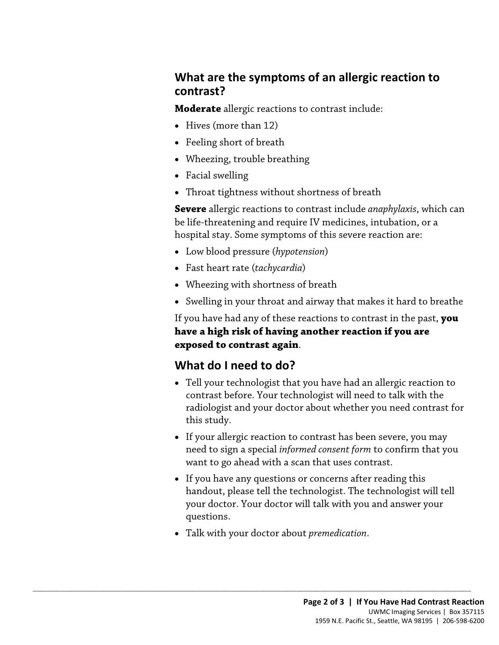#### **What are the symptoms of an allergic reaction to contrast?**

**Moderate** allergic reactions to contrast include:

- Hives (more than 12)
- Feeling short of breath
- Wheezing, trouble breathing
- Facial swelling
- Throat tightness without shortness of breath

**Severe** allergic reactions to contrast include *anaphylaxis*, which can be life-threatening and require IV medicines, intubation, or a hospital stay. Some symptoms of this severe reaction are:

- Low blood pressure (*hypotension*)
- Fast heart rate (*tachycardia*)
- Wheezing with shortness of breath
- Swelling in your throat and airway that makes it hard to breathe

If you have had any of these reactions to contrast in the past, **you have a high risk of having another reaction if you are exposed to contrast again**.

#### **What do I need to do?**

- Tell your technologist that you have had an allergic reaction to contrast before. Your technologist will need to talk with the radiologist and your doctor about whether you need contrast for this study.
- want to go ahead with a scan that uses contrast. • If your allergic reaction to contrast has been severe, you may need to sign a special *informed consent form* to confirm that you
- • If you have any questions or concerns after reading this handout, please tell the technologist. The technologist will tell your doctor. Your doctor will talk with you and answer your questions.
- Talk with your doctor about *premedication*.

 $\_$  ,  $\_$  ,  $\_$  ,  $\_$  ,  $\_$  ,  $\_$  ,  $\_$  ,  $\_$  ,  $\_$  ,  $\_$  ,  $\_$  ,  $\_$  ,  $\_$  ,  $\_$  ,  $\_$  ,  $\_$  ,  $\_$  ,  $\_$  ,  $\_$  ,  $\_$  ,  $\_$  ,  $\_$  ,  $\_$  ,  $\_$  ,  $\_$  ,  $\_$  ,  $\_$  ,  $\_$  ,  $\_$  ,  $\_$  ,  $\_$  ,  $\_$  ,  $\_$  ,  $\_$  ,  $\_$  ,  $\_$  ,  $\_$  ,